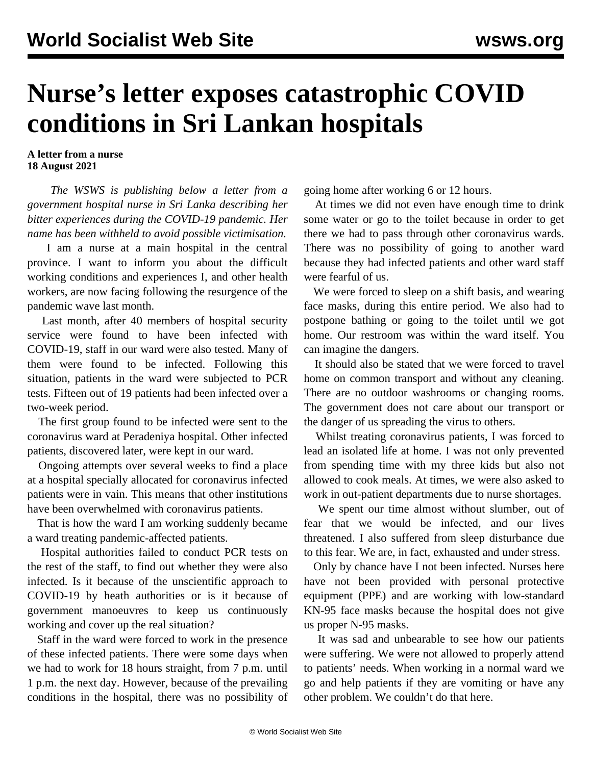## **Nurse's letter exposes catastrophic COVID conditions in Sri Lankan hospitals**

**A letter from a nurse 18 August 2021**

 *The WSWS is publishing below a letter from a government hospital nurse in Sri Lanka describing her bitter experiences during the COVID-19 pandemic. Her name has been withheld to avoid possible victimisation.*

 I am a nurse at a main hospital in the central province. I want to inform you about the difficult working conditions and experiences I, and other health workers, are now facing following the resurgence of the pandemic wave last month.

 Last month, after 40 members of hospital security service were found to have been infected with COVID-19, staff in our ward were also tested. Many of them were found to be infected. Following this situation, patients in the ward were subjected to PCR tests. Fifteen out of 19 patients had been infected over a two-week period.

 The first group found to be infected were sent to the coronavirus ward at Peradeniya hospital. Other infected patients, discovered later, were kept in our ward.

 Ongoing attempts over several weeks to find a place at a hospital specially allocated for coronavirus infected patients were in vain. This means that other institutions have been overwhelmed with coronavirus patients.

 That is how the ward I am working suddenly became a ward treating pandemic-affected patients.

 Hospital authorities failed to conduct PCR tests on the rest of the staff, to find out whether they were also infected. Is it because of the unscientific approach to COVID-19 by heath authorities or is it because of government manoeuvres to keep us continuously working and cover up the real situation?

 Staff in the ward were forced to work in the presence of these infected patients. There were some days when we had to work for 18 hours straight, from 7 p.m. until 1 p.m. the next day. However, because of the prevailing conditions in the hospital, there was no possibility of going home after working 6 or 12 hours.

 At times we did not even have enough time to drink some water or go to the toilet because in order to get there we had to pass through other coronavirus wards. There was no possibility of going to another ward because they had infected patients and other ward staff were fearful of us.

 We were forced to sleep on a shift basis, and wearing face masks, during this entire period. We also had to postpone bathing or going to the toilet until we got home. Our restroom was within the ward itself. You can imagine the dangers.

 It should also be stated that we were forced to travel home on common transport and without any cleaning. There are no outdoor washrooms or changing rooms. The government does not care about our transport or the danger of us spreading the virus to others.

 Whilst treating coronavirus patients, I was forced to lead an isolated life at home. I was not only prevented from spending time with my three kids but also not allowed to cook meals. At times, we were also asked to work in out-patient departments due to nurse shortages.

 We spent our time almost without slumber, out of fear that we would be infected, and our lives threatened. I also suffered from sleep disturbance due to this fear. We are, in fact, exhausted and under stress.

 Only by chance have I not been infected. Nurses here have not been provided with personal protective equipment (PPE) and are working with low-standard KN-95 face masks because the hospital does not give us proper N-95 masks.

 It was sad and unbearable to see how our patients were suffering. We were not allowed to properly attend to patients' needs. When working in a normal ward we go and help patients if they are vomiting or have any other problem. We couldn't do that here.